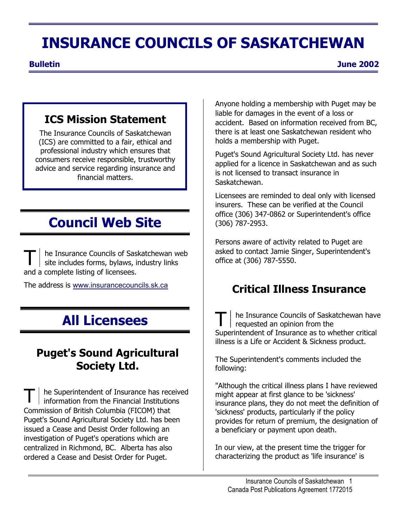# **INSURANCE COUNCILS OF SASKATCHEWAN**

**Bulletin June 2002** 

## **ICS Mission Statement**

The Insurance Councils of Saskatchewan (ICS) are committed to a fair, ethical and professional industry which ensures that consumers receive responsible, trustworthy advice and service regarding insurance and financial matters.

# **Council Web Site**

he Insurance Councils of Saskatchewan web site includes forms, bylaws, industry links and a complete listing of licensees.

The address is [www.insurancecouncils.sk.ca](http://www.insurancecouncils.sk.ca/)

# **All Licensees**

## **Puget's Sound Agricultural Society Ltd.**

he Superintendent of Insurance has received information from the Financial Institutions Commission of British Columbia (FICOM) that Puget's Sound Agricultural Society Ltd. has been issued a Cease and Desist Order following an investigation of Puget's operations which are centralized in Richmond, BC. Alberta has also ordered a Cease and Desist Order for Puget.

Anyone holding a membership with Puget may be liable for damages in the event of a loss or accident. Based on information received from BC, there is at least one Saskatchewan resident who holds a membership with Puget.

Puget's Sound Agricultural Society Ltd. has never applied for a licence in Saskatchewan and as such is not licensed to transact insurance in Saskatchewan.

Licensees are reminded to deal only with licensed insurers. These can be verified at the Council office (306) 347-0862 or Superintendent's office (306) 787-2953.

Persons aware of activity related to Puget are asked to contact Jamie Singer, Superintendent's office at (306) 787-5550.

## **Critical Illness Insurance**

he Insurance Councils of Saskatchewan have requested an opinion from the Superintendent of Insurance as to whether critical illness is a Life or Accident & Sickness product.

The Superintendent's comments included the following:

"Although the critical illness plans I have reviewed might appear at first glance to be 'sickness' insurance plans, they do not meet the definition of 'sickness' products, particularly if the policy provides for return of premium, the designation of a beneficiary or payment upon death.

In our view, at the present time the trigger for characterizing the product as 'life insurance' is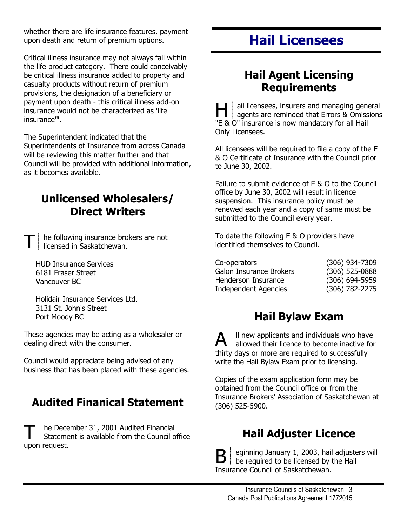whether there are life insurance features, payment upon death and return of premium options.

Critical illness insurance may not always fall within the life product category. There could conceivably be critical illness insurance added to property and casualty products without return of premium provisions, the designation of a beneficiary or payment upon death - this critical illness add-on insurance would not be characterized as 'life insurance'".

The Superintendent indicated that the Superintendents of Insurance from across Canada will be reviewing this matter further and that Council will be provided with additional information, as it becomes available.

## **Unlicensed Wholesalers/ Direct Writers**

he following insurance brokers are not licensed in Saskatchewan.

HUD Insurance Services 6181 Fraser Street Vancouver BC

Holidair Insurance Services Ltd. 3131 St. John's Street Port Moody BC

These agencies may be acting as a wholesaler or dealing direct with the consumer.

Council would appreciate being advised of any business that has been placed with these agencies.

## **Audited Finanical Statement**

T he December 31, 2001 Audited Financial<br>Statement is available from the Council office upon request.

# **Hail Licensees**

## **Hail Agent Licensing Requirements**

ail licensees, insurers and managing general agents are reminded that Errors & Omissions "E & O" insurance is now mandatory for all Hail Only Licensees.

All licensees will be required to file a copy of the E & O Certificate of Insurance with the Council prior to June 30, 2002.

Failure to submit evidence of E & O to the Council office by June 30, 2002 will result in licence suspension. This insurance policy must be renewed each year and a copy of same must be submitted to the Council every year.

To date the following E & O providers have identified themselves to Council.

| Co-operators            | $(306)$ 934-7309   |
|-------------------------|--------------------|
| Galon Insurance Brokers | $(306)$ 525-0888   |
| Henderson Insurance     | $(306) 694 - 5959$ |
| Independent Agencies    | $(306) 782 - 2275$ |

## **Hail Bylaw Exam**

 $\mathbf{A}$   $\parallel$  ll new applicants and individuals who have allowed their licence to become inactive for thirty days or more are required to successfully write the Hail Bylaw Exam prior to licensing.

Copies of the exam application form may be obtained from the Council office or from the Insurance Brokers' Association of Saskatchewan at (306) 525-5900.

## **Hail Adjuster Licence**

 $\mathbf{B} \vert$  eginning January 1, 2003, hail adjusters will be required to be licensed by the Hail Insurance Council of Saskatchewan.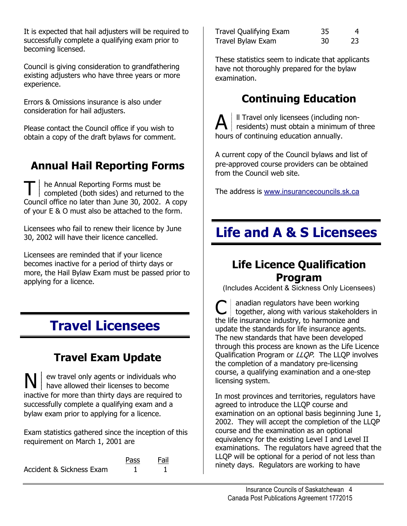It is expected that hail adjusters will be required to successfully complete a qualifying exam prior to becoming licensed.

Council is giving consideration to grandfathering existing adjusters who have three years or more experience.

Errors & Omissions insurance is also under consideration for hail adjusters.

Please contact the Council office if you wish to obtain a copy of the draft bylaws for comment.

# **Annual Hail Reporting Forms**

T | he Annual Reporting Forms must be<br>completed (both sides) and returned to the Council office no later than June 30, 2002. A copy of your E & O must also be attached to the form.

Licensees who fail to renew their licence by June 30, 2002 will have their licence cancelled.

Licensees are reminded that if your licence becomes inactive for a period of thirty days or more, the Hail Bylaw Exam must be passed prior to applying for a licence.

# **Travel Licensees**

# **Travel Exam Update**

N ew travel only agents or individuals who have allowed their licenses to become inactive for more than thirty days are required to successfully complete a qualifying exam and a bylaw exam prior to applying for a licence.

Exam statistics gathered since the inception of this requirement on March 1, 2001 are

|                          | Pass | Fail |
|--------------------------|------|------|
| Accident & Sickness Exam |      |      |

| Travel Qualifying Exam | 35 | 4  |
|------------------------|----|----|
| Travel Bylaw Exam      | 30 | 23 |

These statistics seem to indicate that applicants have not thoroughly prepared for the bylaw examination.

# **Continuing Education**

 $A$   $\parallel$  II Travel only licensees (including non-<br>residents) must obtain a minimum of three hours of continuing education annually.

A current copy of the Council bylaws and list of pre-approved course providers can be obtained from the Council web site.

The address is [www.insurancecouncils.sk.ca](http://www.insurancecouncils.sk.ca/)

# **Life and A & S Licensees**

## **Life Licence Qualification Program**

(Includes Accident & Sickness Only Licensees)

C anadian regulators have been working<br>
contact to the various stakeholders in the life insurance industry, to harmonize and update the standards for life insurance agents. The new standards that have been developed through this process are known as the Life Licence Qualification Program or *LLQP*. The LLQP involves the completion of a mandatory pre-licensing course, a qualifying examination and a one-step licensing system.

In most provinces and territories, regulators have agreed to introduce the LLQP course and examination on an optional basis beginning June 1, 2002. They will accept the completion of the LLQP course and the examination as an optional equivalency for the existing Level I and Level II examinations. The regulators have agreed that the LLQP will be optional for a period of not less than  $\frac{h}{10}$  and  $\frac{h}{10}$  be the sum be optional for a period of fiot less in the set of the signal set of the signal  $\frac{h}{10}$  and  $\frac{h}{100}$  in the signal set of the signal set of the signal set of the signal set of t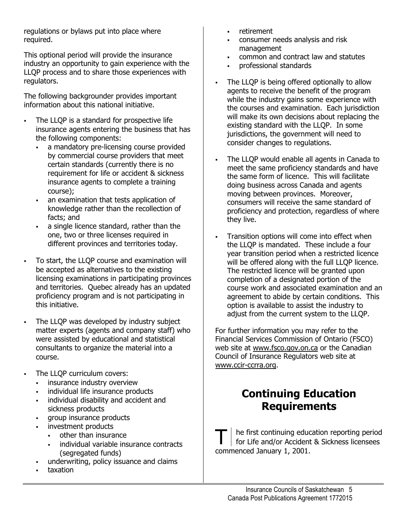regulations or bylaws put into place where required.

This optional period will provide the insurance industry an opportunity to gain experience with the LLQP process and to share those experiences with regulators.

The following backgrounder provides important information about this national initiative.

- . The LLQP is a standard for prospective life insurance agents entering the business that has the following components:
	- : a mandatory pre-licensing course provided by commercial course providers that meet certain standards (currently there is no requirement for life or accident & sickness insurance agents to complete a training course);
	- . an examination that tests application of knowledge rather than the recollection of facts; and
	- . a single licence standard, rather than the one, two or three licenses required in different provinces and territories today.
	- To start, the LLQP course and examination will be accepted as alternatives to the existing licensing examinations in participating provinces and territories. Quebec already has an updated proficiency program and is not participating in this initiative.
	- The LLQP was developed by industry subject matter experts (agents and company staff) who were assisted by educational and statistical consultants to organize the material into a course.
- The LLQP curriculum covers:
	- . insurance industry overview
	- : individual life insurance products
	- . individual disability and accident and sickness products
	- . group insurance products
	- . investment products
		- . other than insurance
		- . individual variable insurance contracts (segregated funds)
	- . underwriting, policy issuance and claims
	- . taxation

.

.

.

- retirement .
- . consumer needs analysis and risk management
- . common and contract law and statutes
- . professional standards
- : The LLQP is being offered optionally to allow agents to receive the benefit of the program while the industry gains some experience with the courses and examination. Each jurisdiction will make its own decisions about replacing the existing standard with the LLQP. In some jurisdictions, the government will need to consider changes to regulations.
- . The LLQP would enable all agents in Canada to meet the same proficiency standards and have the same form of licence. This will facilitate doing business across Canada and agents moving between provinces. Moreover, consumers will receive the same standard of proficiency and protection, regardless of where they live.
- . Transition options will come into effect when the LLQP is mandated. These include a four year transition period when a restricted licence will be offered along with the full LLQP licence. The restricted licence will be granted upon completion of a designated portion of the course work and associated examination and an agreement to abide by certain conditions. This option is available to assist the industry to adjust from the current system to the LLQP.

For further information you may refer to the Financial Services Commission of Ontario (FSCO) web site at [www.fsco.gov.on.ca](http://www.fsco.gov.on.ca/) or the Canadian Council of Insurance Regulators web site at [www.ccir-ccrra.org.](http://www.ccir-ccrra.org/)

## **Continuing Education Requirements**

T | he first continuing education reporting period<br>
for Life and/or Accident & Sickness licensees commenced January 1, 2001.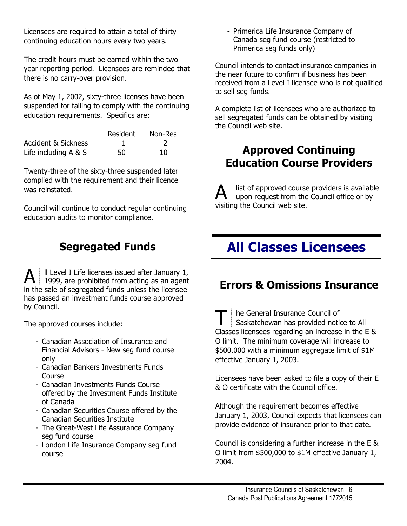Licensees are required to attain a total of thirty continuing education hours every two years.

The credit hours must be earned within the two year reporting period. Licensees are reminded that there is no carry-over provision.

As of May 1, 2002, sixty-three licenses have been suspended for failing to comply with the continuing education requirements. Specifics are:

|                                | Resident | Non-Res |
|--------------------------------|----------|---------|
| <b>Accident &amp; Sickness</b> |          |         |
| Life including $A & S$         | 50       | 10      |

Twenty-three of the sixty-three suspended later complied with the requirement and their licence

Council will continue to conduct regular continuing  $\parallel$  visiting the Council web site. education audits to monitor compliance.

 $\mathbf{A}$  II Level I Life licenses issued after January 1, 1999, are prohibited from acting as an agent in the sale of segregated funds unless the licensee has passed an investment funds course approved by Council.

The approved courses include:

- Canadian Association of Insurance and Financial Advisors - New seg fund course only
- Canadian Bankers Investments Funds
- offered by the Investment Funds Institute
- Canadian Securities Course offered by the Canadian Securities Institute
- The Great-West Life Assurance Company seg fund course
- London Life Insurance Company seg fund course

- Primerica Life Insurance Company of Canada seg fund course (restricted to Primerica seg funds only)

Council intends to contact insurance companies in the near future to confirm if business has been received from a Level I licensee who is not qualified to sell seg funds.

A complete list of licensees who are authorized to sell segregated funds can be obtained by visiting the Council web site.

# **Approved Continuing Education Course Providers**

was reinstated.  $\mathbb{R}^{\parallel}$  list of approved course providers is available upon request from the Council office or by

# **Segregated Funds All Classes Licensees**

# **Errors & Omissions Insurance**

T he General Insurance Council of Saskatchewan has provided notice to All Classes licensees regarding an increase in the E & O limit. The minimum coverage will increase to \$500,000 with a minimum aggregate limit of \$1M effective January 1, 2003.

Course<br>Course Licensees have been asked to file a copy of their E<br>Conservation is the Council office & O certificate with the Council office.

of Canada Although the requirement becomes effective January 1, 2003, Council expects that licensees can provide evidence of insurance prior to that date.

> Council is considering a further increase in the E & O limit from \$500,000 to \$1M effective January 1, 2004.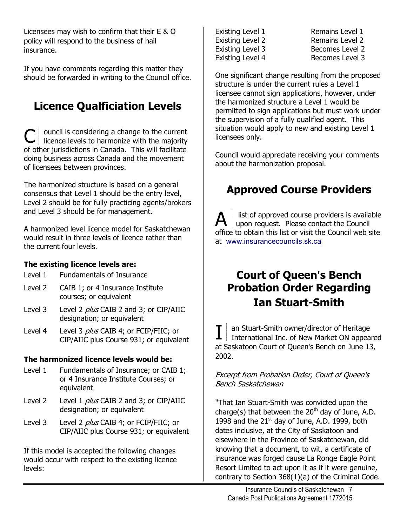Licensees may wish to confirm that their  $E \& O$  Existing Level 1 Remains Level 1 policy will respond to the business of hail insurance.

If you have comments regarding this matter they should be forwarded in writing to the Council office.  $\vert$  One significant change resulting from the proposed

# **Licence Qualficiation Levels**

 $\mathbf{C}$  | ouncil is considering a change to the current licence levels to harmonize with the majority of other jurisdictions in Canada. This will facilitate doing business across Canada and the movement of licensees between provinces.

The harmonized structure is based on a general consensus that Level 1 should be the entry level, Level 2 should be for fully practicing agents/brokers and Level 3 should be for management.

A harmonized level licence model for Saskatchewan would result in three levels of licence rather than the current four levels.

#### **The existing licence levels are:**

- Level 1 Fundamentals of Insurance
- Level 2 CAIB 1; or 4 Insurance Institute
- Level 3 Level 2 *plus* CAIB 2 and 3; or CIP/AIIC designation; or equivalent
- Level 4 Level 3 *plus* CAIB 4; or FCIP/FIIC; or CIP/AIIC plus Course 931; or equivalent

#### **The harmonized licence levels would be:**

- Level 1 Fundamentals of Insurance; or CAIB 1; or 4 Insurance Institute Courses; or equivalent
- Level 2 Level 1 *plus* CAIB 2 and 3; or CIP/AIIC designation; or equivalent
- Level 3 Level 2 *plus* CAIB 4; or FCIP/FIIC; or CIP/AIIC plus Course 931; or equivalent

If this model is accepted the following changes would occur with respect to the existing licence levels:

Existing Level 2 Remains Level 2 Existing Level 3 Becomes Level 2 Existing Level 4 Becomes Level 3

structure is under the current rules a Level 1 licensee cannot sign applications, however, under the harmonized structure a Level 1 would be permitted to sign applications but must work under the supervision of a fully qualified agent. This situation would apply to new and existing Level 1 licensees only.

Council would appreciate receiving your comments about the harmonization proposal.

# **Approved Course Providers**

list of approved course providers is available upon request. Please contact the Council office to obtain this list or visit the Council web site at [www.insurancecouncils.sk.ca](http://www.insurancecouncils.sk.ca/)

## **Court of Queen's Bench Probation Order Regarding**  courses; or equivalent **Ian Stuart-Smith**

 $\mathbf{I}\parallel$  an Stuart-Smith owner/director of Heritage<br>International Inc. of New Market ON appeared at Saskatoon Court of Queen's Bench on June 13, 2002.

Excerpt from Probation Order, Court of Queen's Bench Saskatchewan

"That Ian Stuart-Smith was convicted upon the charge(s) that between the  $20<sup>th</sup>$  day of June, A.D. 1998 and the  $21<sup>st</sup>$  day of June, A.D. 1999, both dates inclusive, at the City of Saskatoon and elsewhere in the Province of Saskatchewan, did knowing that a document, to wit, a certificate of insurance was forged cause La Ronge Eagle Point Resort Limited to act upon it as if it were genuine, contrary to Section 368(1)(a) of the Criminal Code.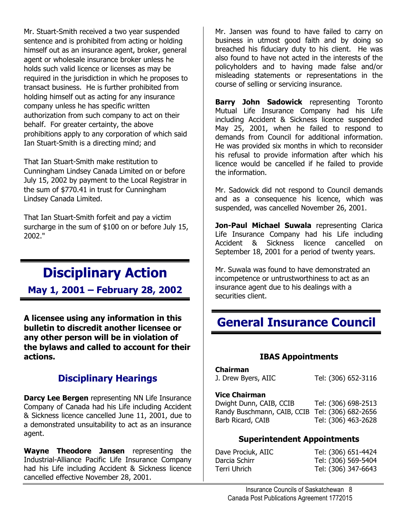Mr. Stuart-Smith received a two year suspended sentence and is prohibited from acting or holding himself out as an insurance agent, broker, general agent or wholesale insurance broker unless he holds such valid licence or licenses as may be required in the jurisdiction in which he proposes to transact business. He is further prohibited from holding himself out as acting for any insurance company unless he has specific written authorization from such company to act on their behalf. For greater certainty, the above prohibitions apply to any corporation of which said Ian Stuart-Smith is a directing mind; and

That Ian Stuart-Smith make restitution to Cunningham Lindsey Canada Limited on or before July 15, 2002 by payment to the Local Registrar in the sum of \$770.41 in trust for Cunningham Lindsey Canada Limited.

That Ian Stuart-Smith forfeit and pay a victim surcharge in the sum of \$100 on or before July 15, 2002."

# **Disciplinary Action**

**May 1, 2001 – February 28, 2002**

**A licensee using any information in this bulletin to discredit another licensee or any other person will be in violation of the bylaws and called to account for their actions.** 

#### **Disciplinary Hearings**

**Darcy Lee Bergen** representing NN Life Insurance Company of Canada had his Life including Accident & Sickness licence cancelled June 11, 2001, due to a demonstrated unsuitability to act as an insurance agent.

**Wayne Theodore Jansen** representing the Industrial-Alliance Pacific Life Insurance Company had his Life including Accident & Sickness licence cancelled effective November 28, 2001.

Mr. Jansen was found to have failed to carry on business in utmost good faith and by doing so breached his fiduciary duty to his client. He was also found to have not acted in the interests of the policyholders and to having made false and/or misleading statements or representations in the course of selling or servicing insurance.

**Barry John Sadowick** representing Toronto Mutual Life Insurance Company had his Life including Accident & Sickness licence suspended May 25, 2001, when he failed to respond to demands from Council for additional information. He was provided six months in which to reconsider his refusal to provide information after which his licence would be cancelled if he failed to provide the information.

Mr. Sadowick did not respond to Council demands and as a consequence his licence, which was suspended, was cancelled November 26, 2001.

**Jon-Paul Michael Suwala** representing Clarica Life Insurance Company had his Life including Accident & Sickness licence cancelled on September 18, 2001 for a period of twenty years.

Mr. Suwala was found to have demonstrated an incompetence or untrustworthiness to act as an insurance agent due to his dealings with a securities client.

# **General Insurance Council**

#### **IBAS Appointments**

| Chairman            |                     |
|---------------------|---------------------|
| J. Drew Byers, AIIC | Tel: (306) 652-3116 |

#### **Vice Chairman**

| Dwight Dunn, CAIB, CCIB                         | Tel: (306) 698-2513 |
|-------------------------------------------------|---------------------|
| Randy Buschmann, CAIB, CCIB Tel: (306) 682-2656 |                     |
| Barb Ricard, CAIB                               | Tel: (306) 463-2628 |

#### **Superintendent Appointments**

| Dave Prociuk, AIIC | Tel: (306) 651-4424 |
|--------------------|---------------------|
| Darcia Schirr      | Tel: (306) 569-5404 |
| Terri Uhrich       | Tel: (306) 347-6643 |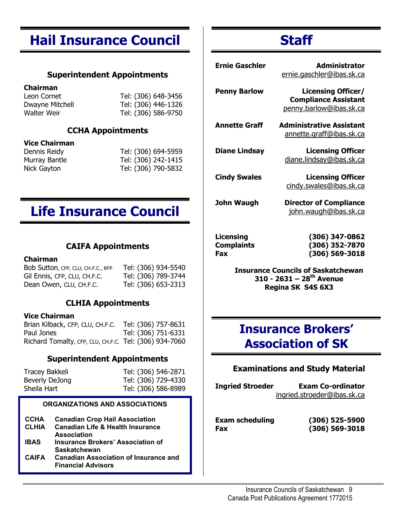# **Hail Insurance Council**

#### **Superintendent Appointments**

#### **Chairman**

Leon Cornet Tel: (306) 648-3456 Dwayne Mitchell Tel: (306) 446-1326 Walter Weir Tel: (306) 586-9750

#### **CCHA Appointments**

#### **Vice Chairman**

Dennis Reidy Tel: (306) 694-5959 Murray Bantle Tel: (306) 242-1415 Nick Gayton Tel: (306) 790-5832

# **Life Insurance Council**

#### **CAIFA Appointments**

#### **Chairman**

Bob Sutton, CFP, CLU, CH.F.C., RFP Tel: (306) 934-5540 Gil Ennis, CFP, CLU, CH.F.C. Tel: (306) 789-3744 Dean Owen, CLU, CH.F.C. Tel: (306) 653-2313

#### **CLHIA Appointments**

#### **Vice Chairman**

Brian Kilback, CFP, CLU, CH.F.C. Tel: (306) 757-8631 Paul Jones Tel: (306) 751-6331 Richard Tomalty, CFP, CLU, CH.F.C. Tel: (306) 934-7060

#### **Superintendent Appointments**

| Tracey Bakkeli | Tel: (306) 546-2871 |
|----------------|---------------------|
| Beverly DeJong | Tel: (306) 729-4330 |
| Sheila Hart    | Tel: (306) 586-8989 |

#### **ORGANIZATIONS AND ASSOCIATIONS**

| <b>CCHA</b>  | <b>Canadian Crop Hail Association</b>                                     |
|--------------|---------------------------------------------------------------------------|
| <b>CLHIA</b> | <b>Canadian Life &amp; Health Insurance</b>                               |
|              | <b>Association</b>                                                        |
| <b>IBAS</b>  | <b>Insurance Brokers' Association of</b>                                  |
|              | <b>Saskatchewan</b>                                                       |
| <b>CAIFA</b> | <b>Canadian Association of Insurance and</b><br><b>Financial Advisors</b> |
|              |                                                                           |

# **Staff**

| Ernie Gaschler                            | Administrator<br>ernie.gaschler@ibas.sk.ca                                          |
|-------------------------------------------|-------------------------------------------------------------------------------------|
| <b>Penny Barlow</b>                       | <b>Licensing Officer/</b><br><b>Compliance Assistant</b><br>penny.barlow@ibas.sk.ca |
| <b>Annette Graff</b>                      | <b>Administrative Assistant</b><br><u>annette.graff@ibas.sk.ca</u>                  |
| <b>Diane Lindsay</b>                      | <b>Licensing Officer</b><br>diane.lindsay@ibas.sk.ca                                |
| <b>Cindy Swales</b>                       | <b>Licensing Officer</b><br>cindy.swales@ibas.sk.ca                                 |
| John Waugh                                | <b>Director of Compliance</b><br>john.waugh@ibas.sk.ca                              |
| Licensing<br><b>Complaints</b><br>Fax     | (306) 347-0862<br>(306) 352-7870<br>(306) 569-3018                                  |
| <b>Insurance Councils of Saskatchewan</b> |                                                                                     |

**Insurance Councils of Saskatchewan 310 - 2631 – 28th Avenue Regina SK S4S 6X3** 

## **Insurance Brokers' Association of SK**

#### **Examinations and Study Material**

**Ingried Stroeder Exam Co-ordinator** [ingried.stroeder@ibas.sk.ca](mailto:Ingried.stroeder@ibas.sk.ca)

**Exam scheduling (306) 525-5900 Fax (306) 569-3018**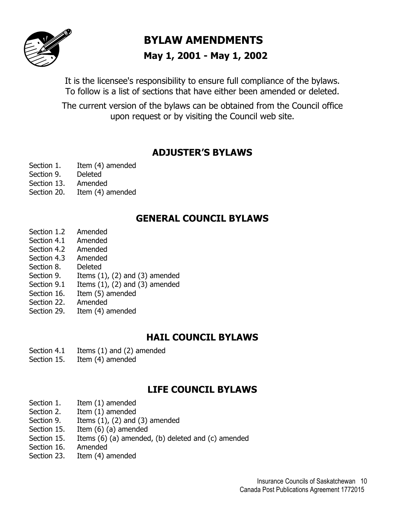

## **BYLAW AMENDMENTS**

#### **May 1, 2001 - May 1, 2002**

It is the licensee's responsibility to ensure full compliance of the bylaws. To follow is a list of sections that have either been amended or deleted.

The current version of the bylaws can be obtained from the Council office upon request or by visiting the Council web site.

#### **ADJUSTER'S BYLAWS**

- Section 1. Item (4) amended
- Section 9. Deleted
- Section 13. Amended
- Section 20. Item (4) amended

#### **GENERAL COUNCIL BYLAWS**

- Section 1.2 Amended
- Section 4.1 Amended
- Section 4.2 Amended
- Section 4.3 Amended
- Section 8. Deleted
- Section 9. Items (1), (2) and (3) amended
- Section 9.1 Items  $(1)$ ,  $(2)$  and  $(3)$  amended
- Section 16. Item (5) amended
- Section 22. Amended
- Section 29. Item (4) amended

#### **HAIL COUNCIL BYLAWS**

- Section 4.1 Items (1) and (2) amended
- Section 15. Item (4) amended

#### **LIFE COUNCIL BYLAWS**

- Section 1. Item (1) amended
- Section 2. Item (1) amended
- Section 9. Items  $(1)$ ,  $(2)$  and  $(3)$  amended
- Section 15. Item (6) (a) amended
- Section 15. Items (6) (a) amended, (b) deleted and (c) amended
- Section 16. Amended
- Section 23. Item (4) amended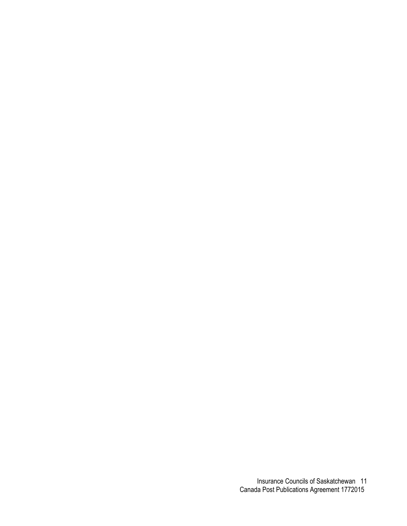Insurance Councils of Saskatchewan 11 Canada Post Publications Agreement 1772015